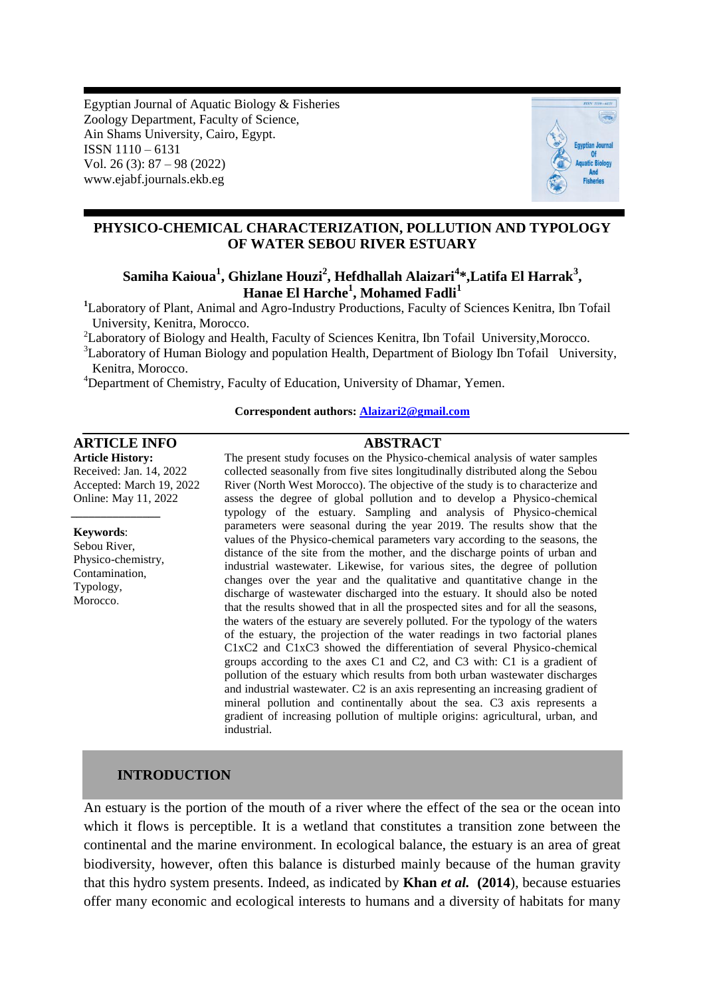Egyptian Journal of Aquatic Biology & Fisheries Zoology Department, Faculty of Science, Ain Shams University, Cairo, Egypt. ISSN 1110 – 6131 Vol. 26 (3): 87 – 98 (2022) www.ejabf.journals.ekb.eg



## **PHYSICO-CHEMICAL CHARACTERIZATION, POLLUTION AND TYPOLOGY OF WATER SEBOU RIVER ESTUARY**

# **Samiha Kaioua<sup>1</sup> , Ghizlane Houzi<sup>2</sup> , Hefdhallah Alaizari<sup>4</sup> \*,Latifa El Harrak<sup>3</sup> , Hanae El Harche<sup>1</sup> , Mohamed Fadli<sup>1</sup>**

**<sup>1</sup>**Laboratory of Plant, Animal and Agro-Industry Productions, Faculty of Sciences Kenitra, Ibn Tofail University, Kenitra, Morocco.

<sup>2</sup>Laboratory of Biology and Health, Faculty of Sciences Kenitra, Ibn Tofail University,Morocco.

<sup>3</sup>Laboratory of Human Biology and population Health, Department of Biology Ibn Tofail University, Kenitra, Morocco.

<sup>4</sup>Department of Chemistry, Faculty of Education, University of Dhamar, Yemen.

#### **Correspondent authors: Alaizari2@gmail.com**

## **ARTICLE INFO ABSTRACT**

**Article History:** Received: Jan. 14, 2022 Accepted: March 19, 2022 Online: May 11, 2022

**Keywords**:

Sebou River, Physico-chemistry, Contamination, Typology, Morocco.

*\_\_\_\_\_\_\_\_\_\_\_\_\_\_\_*

The present study focuses on the Physico-chemical analysis of water samples collected seasonally from five sites longitudinally distributed along the Sebou River (North West Morocco). The objective of the study is to characterize and assess the degree of global pollution and to develop a Physico-chemical typology of the estuary. Sampling and analysis of Physico-chemical parameters were seasonal during the year 2019. The results show that the values of the Physico-chemical parameters vary according to the seasons, the distance of the site from the mother, and the discharge points of urban and industrial wastewater. Likewise, for various sites, the degree of pollution changes over the year and the qualitative and quantitative change in the discharge of wastewater discharged into the estuary. It should also be noted that the results showed that in all the prospected sites and for all the seasons, the waters of the estuary are severely polluted. For the typology of the waters of the estuary, the projection of the water readings in two factorial planes C1xC2 and C1xC3 showed the differentiation of several Physico-chemical groups according to the axes C1 and C2, and C3 with: C1 is a gradient of pollution of the estuary which results from both urban wastewater discharges and industrial wastewater. C2 is an axis representing an increasing gradient of mineral pollution and continentally about the sea. C3 axis represents a gradient of increasing pollution of multiple origins: agricultural, urban, and industrial.

## **INTRODUCTION**

An estuary is the portion of the mouth of a river where the effect of the sea or the ocean into which it flows is perceptible. It is a wetland that constitutes a transition zone between the continental and the marine environment. In ecological balance, the estuary is an area of great biodiversity, however, often this balance is disturbed mainly because of the human gravity that this hydro system presents. Indeed, as indicated by **Khan** *et al.* **(2014**), because estuaries offer many economic and ecological interests to humans and a diversity of habitats for many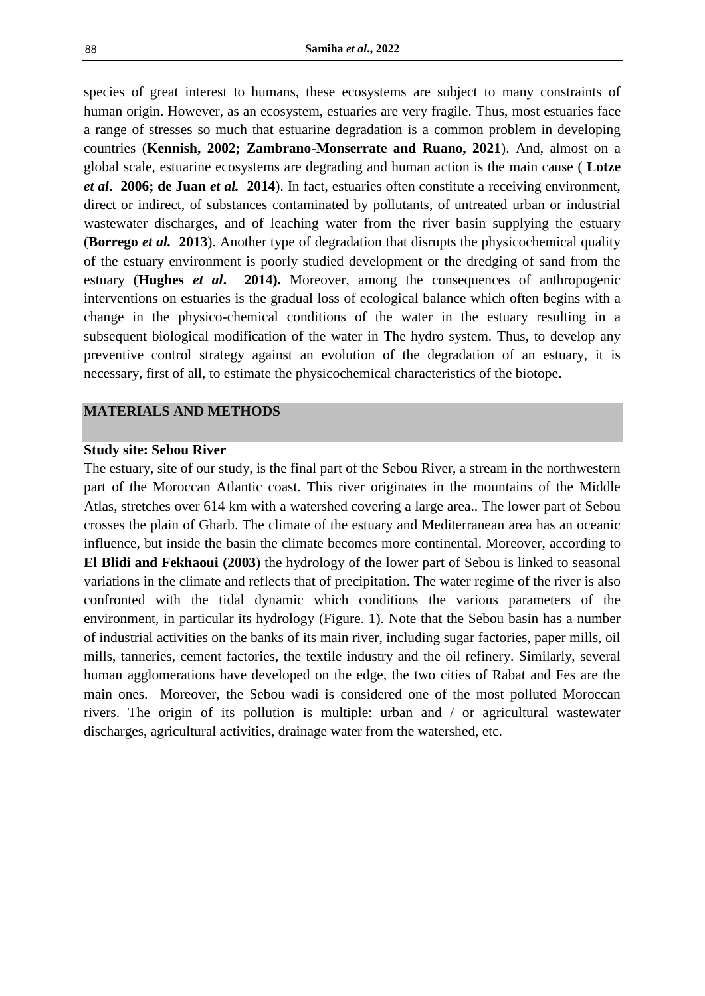species of great interest to humans, these ecosystems are subject to many constraints of human origin. However, as an ecosystem, estuaries are very fragile. Thus, most estuaries face a range of stresses so much that estuarine degradation is a common problem in developing countries (**Kennish, 2002; Zambrano-Monserrate and Ruano, 2021**). And, almost on a global scale, estuarine ecosystems are degrading and human action is the main cause ( **Lotze**  *et al***. 2006; de Juan** *et al.* **2014**). In fact, estuaries often constitute a receiving environment, direct or indirect, of substances contaminated by pollutants, of untreated urban or industrial wastewater discharges, and of leaching water from the river basin supplying the estuary (**Borrego** *et al.* **2013**). Another type of degradation that disrupts the physicochemical quality of the estuary environment is poorly studied development or the dredging of sand from the estuary (**Hughes** *et al***. 2014).** Moreover, among the consequences of anthropogenic interventions on estuaries is the gradual loss of ecological balance which often begins with a change in the physico-chemical conditions of the water in the estuary resulting in a subsequent biological modification of the water in The hydro system. Thus, to develop any preventive control strategy against an evolution of the degradation of an estuary, it is necessary, first of all, to estimate the physicochemical characteristics of the biotope.

## **MATERIALS AND METHODS**

#### **Study site: Sebou River**

The estuary, site of our study, is the final part of the Sebou River, a stream in the northwestern part of the Moroccan Atlantic coast. This river originates in the mountains of the Middle Atlas, stretches over 614 km with a watershed covering a large area.. The lower part of Sebou crosses the plain of Gharb. The climate of the estuary and Mediterranean area has an oceanic influence, but inside the basin the climate becomes more continental. Moreover, according to **El Blidi and Fekhaoui (2003**) the hydrology of the lower part of Sebou is linked to seasonal variations in the climate and reflects that of precipitation. The water regime of the river is also confronted with the tidal dynamic which conditions the various parameters of the environment, in particular its hydrology (Figure. 1). Note that the Sebou basin has a number of industrial activities on the banks of its main river, including sugar factories, paper mills, oil mills, tanneries, cement factories, the textile industry and the oil refinery. Similarly, several human agglomerations have developed on the edge, the two cities of Rabat and Fes are the main ones. Moreover, the Sebou wadi is considered one of the most polluted Moroccan rivers. The origin of its pollution is multiple: urban and / or agricultural wastewater discharges, agricultural activities, drainage water from the watershed, etc.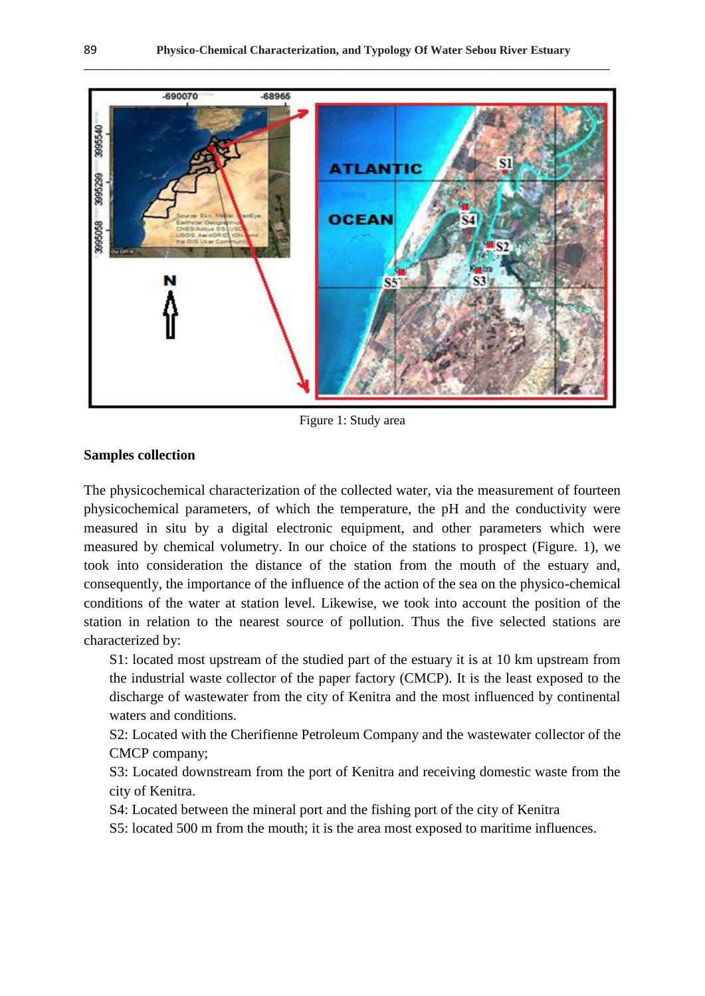**\_\_\_\_\_\_\_\_\_\_\_\_\_\_\_\_\_\_\_\_\_\_\_\_\_\_\_\_\_\_\_\_\_\_\_\_\_\_\_\_\_\_\_\_\_\_\_\_\_\_\_\_\_\_\_\_\_\_\_\_\_\_\_\_\_\_\_\_\_\_\_\_\_\_\_\_\_\_\_\_\_\_\_\_\_\_\_\_\_**



Figure 1: Study area

## **Samples collection**

The physicochemical characterization of the collected water, via the measurement of fourteen physicochemical parameters, of which the temperature, the pH and the conductivity were measured in situ by a digital electronic equipment, and other parameters which were measured by chemical volumetry. In our choice of the stations to prospect (Figure. 1), we took into consideration the distance of the station from the mouth of the estuary and, consequently, the importance of the influence of the action of the sea on the physico-chemical conditions of the water at station level. Likewise, we took into account the position of the station in relation to the nearest source of pollution. Thus the five selected stations are characterized by:

S1: located most upstream of the studied part of the estuary it is at 10 km upstream from the industrial waste collector of the paper factory (CMCP). It is the least exposed to the discharge of wastewater from the city of Kenitra and the most influenced by continental waters and conditions.

S2: Located with the Cherifienne Petroleum Company and the wastewater collector of the CMCP company;

S3: Located downstream from the port of Kenitra and receiving domestic waste from the city of Kenitra.

S4: Located between the mineral port and the fishing port of the city of Kenitra

S5: located 500 m from the mouth; it is the area most exposed to maritime influences.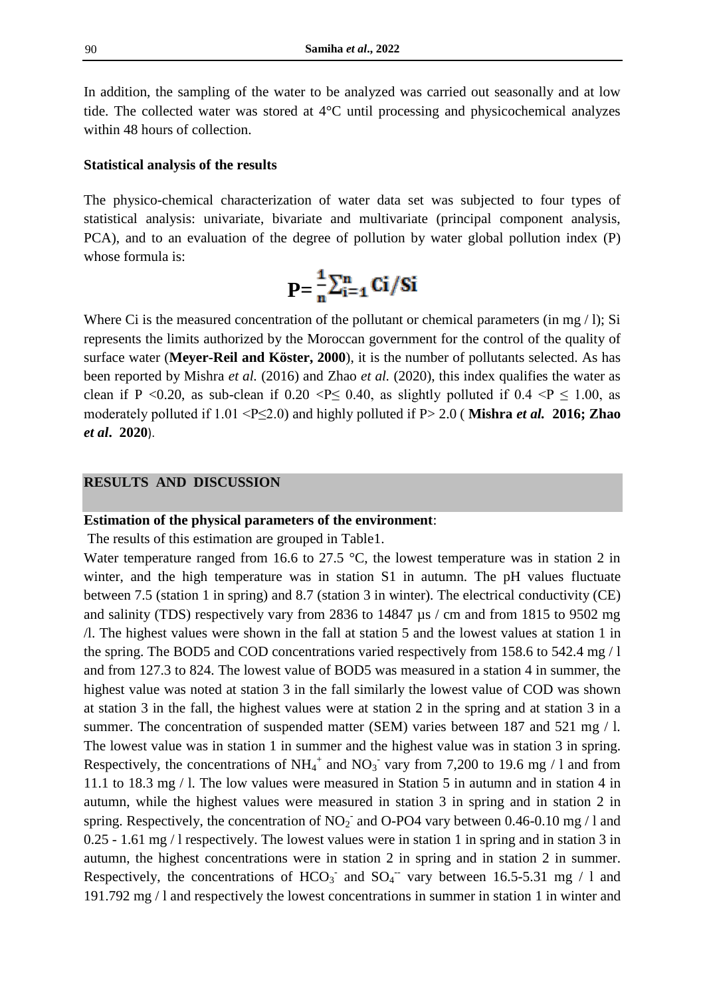In addition, the sampling of the water to be analyzed was carried out seasonally and at low tide. The collected water was stored at 4°C until processing and physicochemical analyzes within 48 hours of collection.

#### **Statistical analysis of the results**

The physico-chemical characterization of water data set was subjected to four types of statistical analysis: univariate, bivariate and multivariate (principal component analysis, PCA), and to an evaluation of the degree of pollution by water global pollution index (P) whose formula is:

$$
P=\frac{1}{n}\sum_{i=1}^n Ci/Si
$$

Where Ci is the measured concentration of the pollutant or chemical parameters (in mg / l); Si represents the limits authorized by the Moroccan government for the control of the quality of surface water (**Meyer-Reil and Köster, 2000**), it is the number of pollutants selected. As has been reported by Mishra *et al.* (2016) and Zhao *et al.* (2020), this index qualifies the water as clean if P <0.20, as sub-clean if 0.20 <P $\leq$  0.40, as slightly polluted if 0.4 <P  $\leq$  1.00, as moderately polluted if 1.01 <P≤2.0) and highly polluted if P> 2.0 ( **Mishra** *et al.* **2016; Zhao**  *et al***. 2020**).

## **RESULTS AND DISCUSSION**

#### **Estimation of the physical parameters of the environment**:

The results of this estimation are grouped in Table1.

Water temperature ranged from 16.6 to 27.5 °C, the lowest temperature was in station 2 in winter, and the high temperature was in station S1 in autumn. The pH values fluctuate between 7.5 (station 1 in spring) and 8.7 (station 3 in winter). The electrical conductivity (CE) and salinity (TDS) respectively vary from 2836 to 14847 µs / cm and from 1815 to 9502 mg /l. The highest values were shown in the fall at station 5 and the lowest values at station 1 in the spring. The BOD5 and COD concentrations varied respectively from 158.6 to 542.4 mg / l and from 127.3 to 824. The lowest value of BOD5 was measured in a station 4 in summer, the highest value was noted at station 3 in the fall similarly the lowest value of COD was shown at station 3 in the fall, the highest values were at station 2 in the spring and at station 3 in a summer. The concentration of suspended matter (SEM) varies between 187 and 521 mg / l. The lowest value was in station 1 in summer and the highest value was in station 3 in spring. Respectively, the concentrations of  $NH_4^+$  and  $NO_3^-$  vary from 7,200 to 19.6 mg / 1 and from 11.1 to 18.3 mg / l. The low values were measured in Station 5 in autumn and in station 4 in autumn, while the highest values were measured in station 3 in spring and in station 2 in spring. Respectively, the concentration of  $NO<sub>2</sub>$  and O-PO4 vary between 0.46-0.10 mg / 1 and 0.25 - 1.61 mg / l respectively. The lowest values were in station 1 in spring and in station 3 in autumn, the highest concentrations were in station 2 in spring and in station 2 in summer. Respectively, the concentrations of  $HCO_3^-$  and  $SO_4^-$  vary between 16.5-5.31 mg / 1 and 191.792 mg / l and respectively the lowest concentrations in summer in station 1 in winter and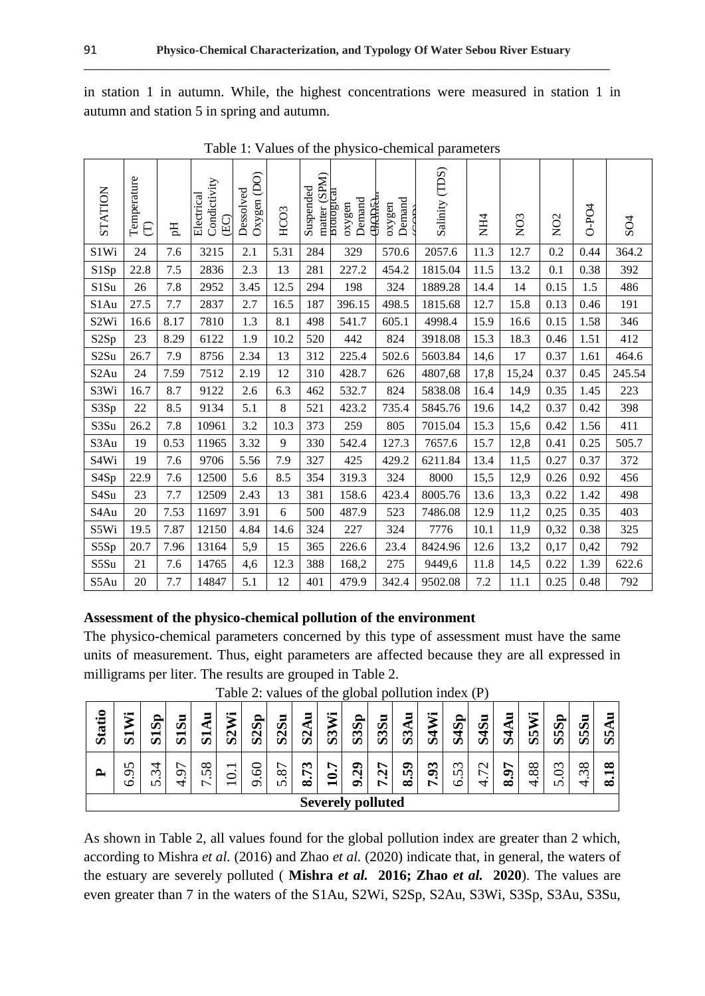in station 1 in autumn. While, the highest concentrations were measured in station 1 in autumn and station 5 in spring and autumn.

**\_\_\_\_\_\_\_\_\_\_\_\_\_\_\_\_\_\_\_\_\_\_\_\_\_\_\_\_\_\_\_\_\_\_\_\_\_\_\_\_\_\_\_\_\_\_\_\_\_\_\_\_\_\_\_\_\_\_\_\_\_\_\_\_\_\_\_\_\_\_\_\_\_\_\_\_\_\_\_\_\_\_\_\_\_\_\_\_\_**

| <b>STATION</b>    | Temperature<br>E | $\rm H$ | Condictivity<br>Electrical<br>(EC) | Oxygen(DO)<br>Dessolved | HCO3 | matter (SPM)<br>Suspended | влогодса<br><b>GAAAA</b><br>Demand<br>oxygen | Demand<br>oxygen | Salinity (TDS) | NH4  | NO <sub>3</sub> | NO <sub>2</sub> | O-PO4 | SO <sub>4</sub> |
|-------------------|------------------|---------|------------------------------------|-------------------------|------|---------------------------|----------------------------------------------|------------------|----------------|------|-----------------|-----------------|-------|-----------------|
| S1Wi              | 24               | 7.6     | 3215                               | 2.1                     | 5.31 | 284                       | 329                                          | 570.6            | 2057.6         | 11.3 | 12.7            | 0.2             | 0.44  | 364.2           |
| S1Sp              | 22.8             | 7.5     | 2836                               | 2.3                     | 13   | 281                       | 227.2                                        | 454.2            | 1815.04        | 11.5 | 13.2            | 0.1             | 0.38  | 392             |
| S1Su              | 26               | 7.8     | 2952                               | 3.45                    | 12.5 | 294                       | 198                                          | 324              | 1889.28        | 14.4 | 14              | 0.15            | 1.5   | 486             |
| S1Au              | 27.5             | 7.7     | 2837                               | 2.7                     | 16.5 | 187                       | 396.15                                       | 498.5            | 1815.68        | 12.7 | 15.8            | 0.13            | 0.46  | 191             |
| S <sub>2</sub> Wi | 16.6             | 8.17    | 7810                               | 1.3                     | 8.1  | 498                       | 541.7                                        | 605.1            | 4998.4         | 15.9 | 16.6            | 0.15            | 1.58  | 346             |
| S <sub>2</sub> Sp | 23               | 8.29    | 6122                               | 1.9                     | 10.2 | 520                       | 442                                          | 824              | 3918.08        | 15.3 | 18.3            | 0.46            | 1.51  | 412             |
| S <sub>2</sub> Su | 26.7             | 7.9     | 8756                               | 2.34                    | 13   | 312                       | 225.4                                        | 502.6            | 5603.84        | 14,6 | 17              | 0.37            | 1.61  | 464.6           |
| S <sub>2</sub> Au | 24               | 7.59    | 7512                               | 2.19                    | 12   | 310                       | 428.7                                        | 626              | 4807,68        | 17,8 | 15,24           | 0.37            | 0.45  | 245.54          |
| S3Wi              | 16.7             | 8.7     | 9122                               | 2.6                     | 6.3  | 462                       | 532.7                                        | 824              | 5838.08        | 16.4 | 14,9            | 0.35            | 1.45  | 223             |
| S3Sp              | $22\,$           | 8.5     | 9134                               | 5.1                     | 8    | 521                       | 423.2                                        | 735.4            | 5845.76        | 19.6 | 14,2            | 0.37            | 0.42  | 398             |
| S3Su              | 26.2             | 7.8     | 10961                              | 3.2                     | 10.3 | 373                       | 259                                          | 805              | 7015.04        | 15.3 | 15,6            | 0.42            | 1.56  | 411             |
| S3Au              | 19               | 0.53    | 11965                              | 3.32                    | 9    | 330                       | 542.4                                        | 127.3            | 7657.6         | 15.7 | 12,8            | 0.41            | 0.25  | 505.7           |
| S <sub>4</sub> Wi | 19               | 7.6     | 9706                               | 5.56                    | 7.9  | 327                       | 425                                          | 429.2            | 6211.84        | 13.4 | 11,5            | 0.27            | 0.37  | 372             |
| S <sub>4</sub> Sp | 22.9             | 7.6     | 12500                              | 5.6                     | 8.5  | 354                       | 319.3                                        | 324              | 8000           | 15,5 | 12,9            | 0.26            | 0.92  | 456             |
| S4Su              | 23               | 7.7     | 12509                              | 2.43                    | 13   | 381                       | 158.6                                        | 423.4            | 8005.76        | 13.6 | 13,3            | 0.22            | 1.42  | 498             |
| S <sub>4</sub> Au | 20               | 7.53    | 11697                              | 3.91                    | 6    | 500                       | 487.9                                        | 523              | 7486.08        | 12.9 | 11,2            | 0,25            | 0.35  | 403             |
| S5Wi              | 19.5             | 7.87    | 12150                              | 4.84                    | 14.6 | 324                       | 227                                          | 324              | 7776           | 10.1 | 11,9            | 0,32            | 0.38  | 325             |
| S5Sp              | 20.7             | 7.96    | 13164                              | 5,9                     | 15   | 365                       | 226.6                                        | 23.4             | 8424.96        | 12.6 | 13,2            | 0,17            | 0,42  | 792             |
| S5Su              | 21               | 7.6     | 14765                              | 4,6                     | 12.3 | 388                       | 168,2                                        | 275              | 9449,6         | 11.8 | 14,5            | 0.22            | 1.39  | 622.6           |
| S5Au              | 20               | 7.7     | 14847                              | 5.1                     | 12   | 401                       | 479.9                                        | 342.4            | 9502.08        | 7.2  | 11.1            | 0.25            | 0.48  | 792             |

Table 1: Values of the physico-chemical parameters

## **Assessment of the physico-chemical pollution of the environment**

The physico-chemical parameters concerned by this type of assessment must have the same units of measurement. Thus, eight parameters are affected because they are all expressed in milligrams per liter. The results are grouped in Table 2.

| <b>Statio</b>               | Wi<br>−<br>$\boldsymbol{\Omega}$ | င်္ဘ<br>↽<br>S     | Ξ<br>の<br>−<br>$\sigma$ | Ξ<br>◥<br>−<br>σ     | Wi<br>$\overline{\text{S}}$                                            | 2Sp<br>S            | 2S <sub>u</sub><br>Ø        | $\mathbf{N}$<br>S  | 3Wi<br>Ø                | 3Sp<br>Ø          | 3S <sub>u</sub><br>Ø           | ⋖<br>$\mathbf{\omega}$<br>S | Wi<br>ਚ<br>Ò | 4Sp<br>Ø                | 4Su<br>Ø              | ᇺ<br>◥<br>S | Ψi<br>m<br>Ø              | 5Sp<br>S                  | 5Su<br>Ø                  | ın,<br>$\boldsymbol{\omega}$ |
|-----------------------------|----------------------------------|--------------------|-------------------------|----------------------|------------------------------------------------------------------------|---------------------|-----------------------------|--------------------|-------------------------|-------------------|--------------------------------|-----------------------------|--------------|-------------------------|-----------------------|-------------|---------------------------|---------------------------|---------------------------|------------------------------|
| ≏                           | $\sim$<br>⌒<br>७                 | ↴<br>$\omega$<br>∽ | σ<br>↽                  | $\infty$<br>$\Omega$ | $\overline{\phantom{0}}$<br>$\bullet$<br>⊂<br>$\overline{\phantom{0}}$ | 8<br>$\bullet$<br>െ | 87<br>$\bullet$<br>$\Omega$ | ొ<br>↖<br>$\infty$ | ↖<br>0<br>$\overline{}$ | $\mathbf{g}$<br>๑ | r<br>$\mathbf{\tilde{c}}$<br>∼ | င္စာ<br>$\infty$            | 93<br>∼      | $\omega$<br>$\sim$<br>৩ | $\mathbin{\sim}$<br>↽ | ۸<br>∞      | $\infty$<br>$\infty$<br>4 | $\omega$<br>○<br>$\Omega$ | $\infty$<br>$\omega$<br>↤ | ∞<br>$\infty$                |
| <b>Severely</b><br>polluted |                                  |                    |                         |                      |                                                                        |                     |                             |                    |                         |                   |                                |                             |              |                         |                       |             |                           |                           |                           |                              |

Table 2: values of the global pollution index (P)

As shown in Table 2, all values found for the global pollution index are greater than 2 which, according to Mishra *et al.* (2016) and Zhao *et al.* (2020) indicate that, in general, the waters of the estuary are severely polluted ( **Mishra** *et al.* **2016; Zhao** *et al.* **2020**). The values are even greater than 7 in the waters of the S1Au, S2Wi, S2Sp, S2Au, S3Wi, S3Sp, S3Au, S3Su,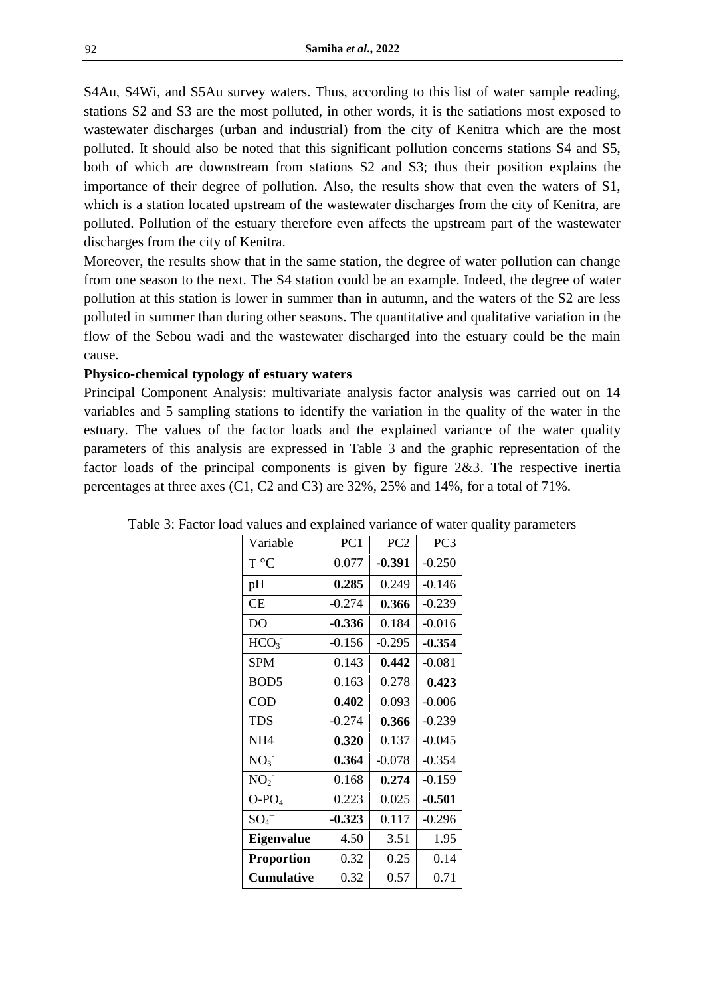S4Au, S4Wi, and S5Au survey waters. Thus, according to this list of water sample reading, stations S2 and S3 are the most polluted, in other words, it is the satiations most exposed to wastewater discharges (urban and industrial) from the city of Kenitra which are the most polluted. It should also be noted that this significant pollution concerns stations S4 and S5, both of which are downstream from stations S2 and S3; thus their position explains the importance of their degree of pollution. Also, the results show that even the waters of S1, which is a station located upstream of the wastewater discharges from the city of Kenitra, are polluted. Pollution of the estuary therefore even affects the upstream part of the wastewater discharges from the city of Kenitra.

Moreover, the results show that in the same station, the degree of water pollution can change from one season to the next. The S4 station could be an example. Indeed, the degree of water pollution at this station is lower in summer than in autumn, and the waters of the S2 are less polluted in summer than during other seasons. The quantitative and qualitative variation in the flow of the Sebou wadi and the wastewater discharged into the estuary could be the main cause.

## **Physico-chemical typology of estuary waters**

Principal Component Analysis: multivariate analysis factor analysis was carried out on 14 variables and 5 sampling stations to identify the variation in the quality of the water in the estuary. The values of the factor loads and the explained variance of the water quality parameters of this analysis are expressed in Table 3 and the graphic representation of the factor loads of the principal components is given by figure 2&3. The respective inertia percentages at three axes (C1, C2 and C3) are 32%, 25% and 14%, for a total of 71%.

| Variable          | PC <sub>1</sub> | PC <sub>2</sub> | PC <sub>3</sub> |
|-------------------|-----------------|-----------------|-----------------|
| T °C              | 0.077           | $-0.391$        | $-0.250$        |
| pH                | 0.285           | 0.249           | $-0.146$        |
| <b>CE</b>         | $-0.274$        | 0.366           | $-0.239$        |
| D <sub>O</sub>    | $-0.336$        | 0.184           | $-0.016$        |
| HCO <sub>3</sub>  | $-0.156$        | $-0.295$        | $-0.354$        |
| SPM               | 0.143           | 0.442           | $-0.081$        |
| BOD <sub>5</sub>  | 0.163           | 0.278           | 0.423           |
| <b>COD</b>        | 0.402           | 0.093           | $-0.006$        |
| <b>TDS</b>        | $-0.274$        | 0.366           | $-0.239$        |
| NH <sub>4</sub>   | 0.320           | 0.137           | $-0.045$        |
| NO <sub>3</sub>   | 0.364           | $-0.078$        | $-0.354$        |
| NO <sub>2</sub>   | 0.168           | 0.274           | $-0.159$        |
| $O-PO4$           | 0.223           | 0.025           | $-0.501$        |
| $SO_4^-$          | $-0.323$        | 0.117           | $-0.296$        |
| <b>Eigenvalue</b> | 4.50            | 3.51            | 1.95            |
| <b>Proportion</b> | 0.32            | 0.25            | 0.14            |
| <b>Cumulative</b> | 0.32            | 0.57            | 0.71            |

Table 3: Factor load values and explained variance of water quality parameters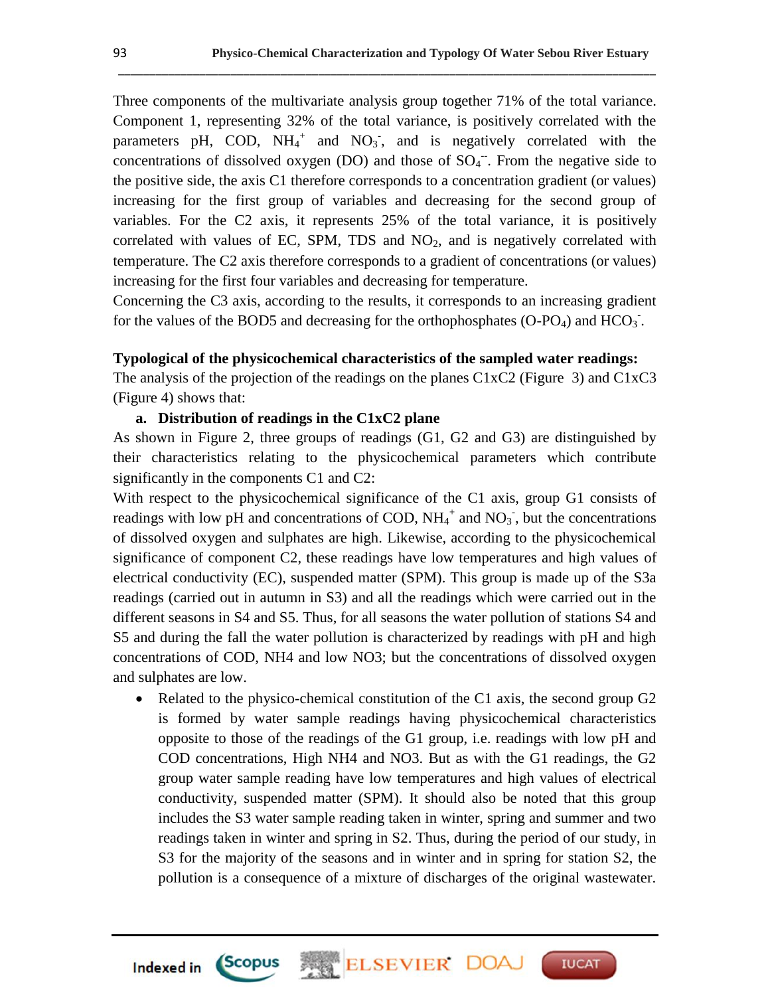Three components of the multivariate analysis group together 71% of the total variance. Component 1, representing 32% of the total variance, is positively correlated with the parameters pH, COD,  $NH_4^+$  and  $NO_3^-$ , and is negatively correlated with the concentrations of dissolved oxygen (DO) and those of  $SO_4^-$ . From the negative side to the positive side, the axis C1 therefore corresponds to a concentration gradient (or values) increasing for the first group of variables and decreasing for the second group of variables. For the C2 axis, it represents 25% of the total variance, it is positively correlated with values of EC, SPM, TDS and  $NO<sub>2</sub>$ , and is negatively correlated with temperature. The C2 axis therefore corresponds to a gradient of concentrations (or values) increasing for the first four variables and decreasing for temperature.

\_\_\_\_\_\_\_\_\_\_\_\_\_\_\_\_\_\_\_\_\_\_\_\_\_\_\_\_\_\_\_\_\_\_\_\_\_\_\_\_\_\_\_\_\_\_\_\_\_\_\_\_\_\_\_\_\_\_\_\_\_\_\_\_\_\_\_\_\_\_\_\_\_\_\_\_\_\_\_\_\_\_\_\_\_\_

Concerning the C3 axis, according to the results, it corresponds to an increasing gradient for the values of the BOD5 and decreasing for the orthophosphates  $(O-PO<sub>4</sub>)$  and  $HCO<sub>3</sub>$ .

#### **Typological of the physicochemical characteristics of the sampled water readings:**

The analysis of the projection of the readings on the planes C1xC2 (Figure 3) and C1xC3 (Figure 4) shows that:

## **a. Distribution of readings in the C1xC2 plane**

As shown in Figure 2, three groups of readings (G1, G2 and G3) are distinguished by their characteristics relating to the physicochemical parameters which contribute significantly in the components C1 and C2:

With respect to the physicochemical significance of the C1 axis, group G1 consists of readings with low pH and concentrations of COD,  $NH_4^+$  and  $NO_3^-$ , but the concentrations of dissolved oxygen and sulphates are high. Likewise, according to the physicochemical significance of component C2, these readings have low temperatures and high values of electrical conductivity (EC), suspended matter (SPM). This group is made up of the S3a readings (carried out in autumn in S3) and all the readings which were carried out in the different seasons in S4 and S5. Thus, for all seasons the water pollution of stations S4 and S5 and during the fall the water pollution is characterized by readings with pH and high concentrations of COD, NH4 and low NO3; but the concentrations of dissolved oxygen and sulphates are low.

• Related to the physico-chemical constitution of the C1 axis, the second group G2 is formed by water sample readings having physicochemical characteristics opposite to those of the readings of the G1 group, i.e. readings with low pH and COD concentrations, High NH4 and NO3. But as with the G1 readings, the G2 group water sample reading have low temperatures and high values of electrical conductivity, suspended matter (SPM). It should also be noted that this group includes the S3 water sample reading taken in winter, spring and summer and two readings taken in winter and spring in S2. Thus, during the period of our study, in S3 for the majority of the seasons and in winter and in spring for station S2, the pollution is a consequence of a mixture of discharges of the original wastewater.

ELSEVIER DOA

**IUCAT** 

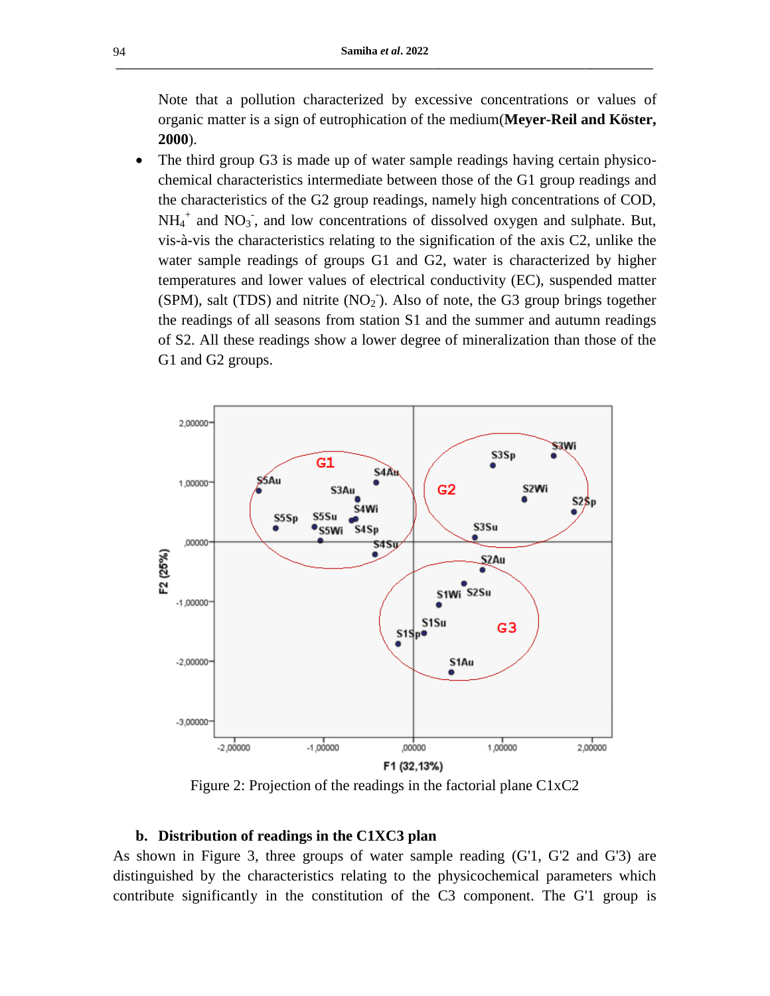Note that a pollution characterized by excessive concentrations or values of organic matter is a sign of eutrophication of the medium(**Meyer-Reil and Köster, 2000**).

 The third group G3 is made up of water sample readings having certain physicochemical characteristics intermediate between those of the G1 group readings and the characteristics of the G2 group readings, namely high concentrations of COD,  $NH_4^+$  and  $NO_3^-$ , and low concentrations of dissolved oxygen and sulphate. But, vis-à-vis the characteristics relating to the signification of the axis C2, unlike the water sample readings of groups G1 and G2, water is characterized by higher temperatures and lower values of electrical conductivity (EC), suspended matter  $(SPM)$ , salt (TDS) and nitrite  $(NO<sub>2</sub>)$ . Also of note, the G3 group brings together the readings of all seasons from station S1 and the summer and autumn readings of S2. All these readings show a lower degree of mineralization than those of the G1 and G2 groups.



Figure 2: Projection of the readings in the factorial plane C1xC2

#### **b. Distribution of readings in the C1XC3 plan**

As shown in Figure 3, three groups of water sample reading (G'1, G'2 and G'3) are distinguished by the characteristics relating to the physicochemical parameters which contribute significantly in the constitution of the C3 component. The G'1 group is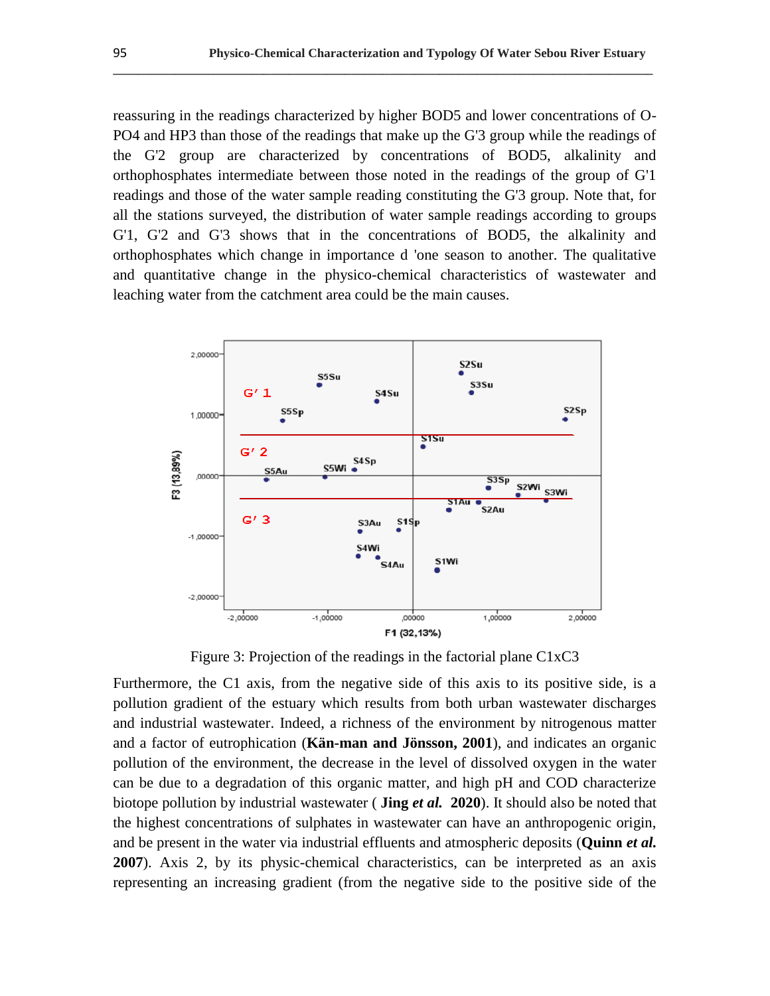reassuring in the readings characterized by higher BOD5 and lower concentrations of O-PO4 and HP3 than those of the readings that make up the G'3 group while the readings of the G'2 group are characterized by concentrations of BOD5, alkalinity and orthophosphates intermediate between those noted in the readings of the group of G'1 readings and those of the water sample reading constituting the G'3 group. Note that, for all the stations surveyed, the distribution of water sample readings according to groups G'1, G'2 and G'3 shows that in the concentrations of BOD5, the alkalinity and orthophosphates which change in importance d 'one season to another. The qualitative and quantitative change in the physico-chemical characteristics of wastewater and leaching water from the catchment area could be the main causes.

**\_\_\_\_\_\_\_\_\_\_\_\_\_\_\_\_\_\_\_\_\_\_\_\_\_\_\_\_\_\_\_\_\_\_\_\_\_\_\_\_\_\_\_\_\_\_\_\_\_\_\_\_\_\_\_\_\_\_\_\_\_\_\_\_\_\_\_\_\_\_\_\_\_\_\_\_\_\_\_\_\_\_\_\_\_\_**



Figure 3: Projection of the readings in the factorial plane C1xC3

Furthermore, the C1 axis, from the negative side of this axis to its positive side, is a pollution gradient of the estuary which results from both urban wastewater discharges and industrial wastewater. Indeed, a richness of the environment by nitrogenous matter and a factor of eutrophication (**Kän-man and Jönsson, 2001**), and indicates an organic pollution of the environment, the decrease in the level of dissolved oxygen in the water can be due to a degradation of this organic matter, and high pH and COD characterize biotope pollution by industrial wastewater ( **Jing** *et al.* **2020**). It should also be noted that the highest concentrations of sulphates in wastewater can have an anthropogenic origin, and be present in the water via industrial effluents and atmospheric deposits (**Quinn** *et al.*  **2007**). Axis 2, by its physic-chemical characteristics, can be interpreted as an axis representing an increasing gradient (from the negative side to the positive side of the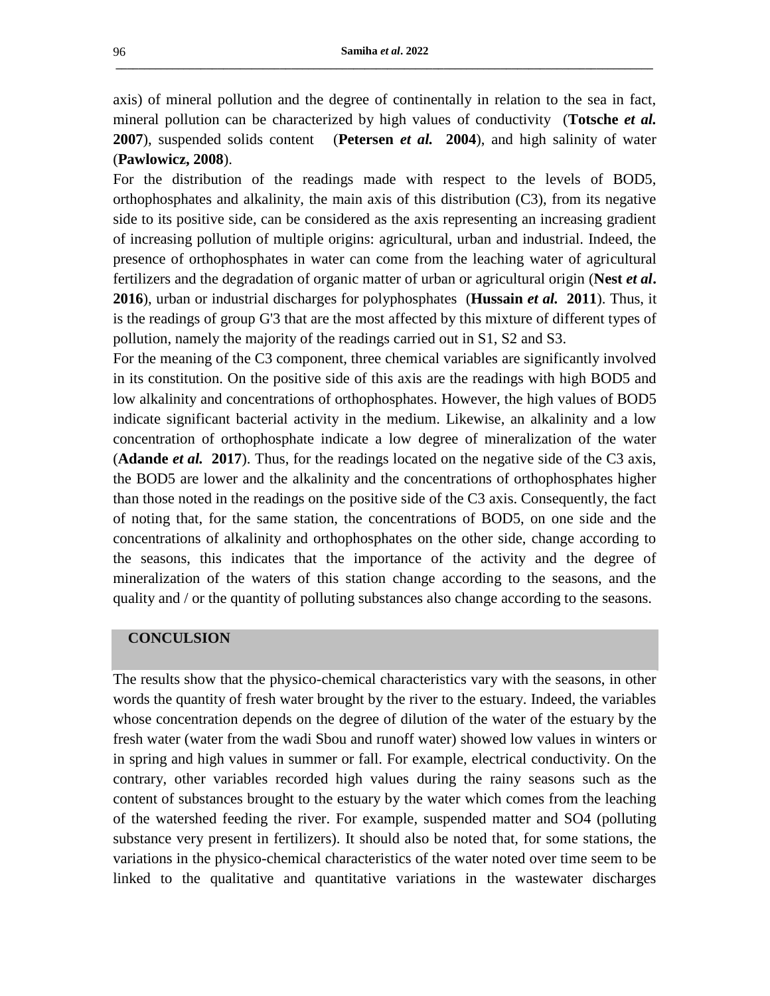axis) of mineral pollution and the degree of continentally in relation to the sea in fact, mineral pollution can be characterized by high values of conductivity (**Totsche** *et al.* **2007**), suspended solids content (**Petersen** *et al.* **2004**), and high salinity of water (**Pawlowicz, 2008**).

For the distribution of the readings made with respect to the levels of BOD5, orthophosphates and alkalinity, the main axis of this distribution (C3), from its negative side to its positive side, can be considered as the axis representing an increasing gradient of increasing pollution of multiple origins: agricultural, urban and industrial. Indeed, the presence of orthophosphates in water can come from the leaching water of agricultural fertilizers and the degradation of organic matter of urban or agricultural origin (**Nest** *et al***. 2016**), urban or industrial discharges for polyphosphates (**Hussain** *et al.* **2011**). Thus, it is the readings of group G'3 that are the most affected by this mixture of different types of pollution, namely the majority of the readings carried out in S1, S2 and S3.

For the meaning of the C3 component, three chemical variables are significantly involved in its constitution. On the positive side of this axis are the readings with high BOD5 and low alkalinity and concentrations of orthophosphates. However, the high values of BOD5 indicate significant bacterial activity in the medium. Likewise, an alkalinity and a low concentration of orthophosphate indicate a low degree of mineralization of the water (**Adande** *et al.* **2017**). Thus, for the readings located on the negative side of the C3 axis, the BOD5 are lower and the alkalinity and the concentrations of orthophosphates higher than those noted in the readings on the positive side of the C3 axis. Consequently, the fact of noting that, for the same station, the concentrations of BOD5, on one side and the concentrations of alkalinity and orthophosphates on the other side, change according to the seasons, this indicates that the importance of the activity and the degree of mineralization of the waters of this station change according to the seasons, and the quality and / or the quantity of polluting substances also change according to the seasons.

#### **CONCULSION**

The results show that the physico-chemical characteristics vary with the seasons, in other words the quantity of fresh water brought by the river to the estuary. Indeed, the variables whose concentration depends on the degree of dilution of the water of the estuary by the fresh water (water from the wadi Sbou and runoff water) showed low values in winters or in spring and high values in summer or fall. For example, electrical conductivity. On the contrary, other variables recorded high values during the rainy seasons such as the content of substances brought to the estuary by the water which comes from the leaching of the watershed feeding the river. For example, suspended matter and SO4 (polluting substance very present in fertilizers). It should also be noted that, for some stations, the variations in the physico-chemical characteristics of the water noted over time seem to be linked to the qualitative and quantitative variations in the wastewater discharges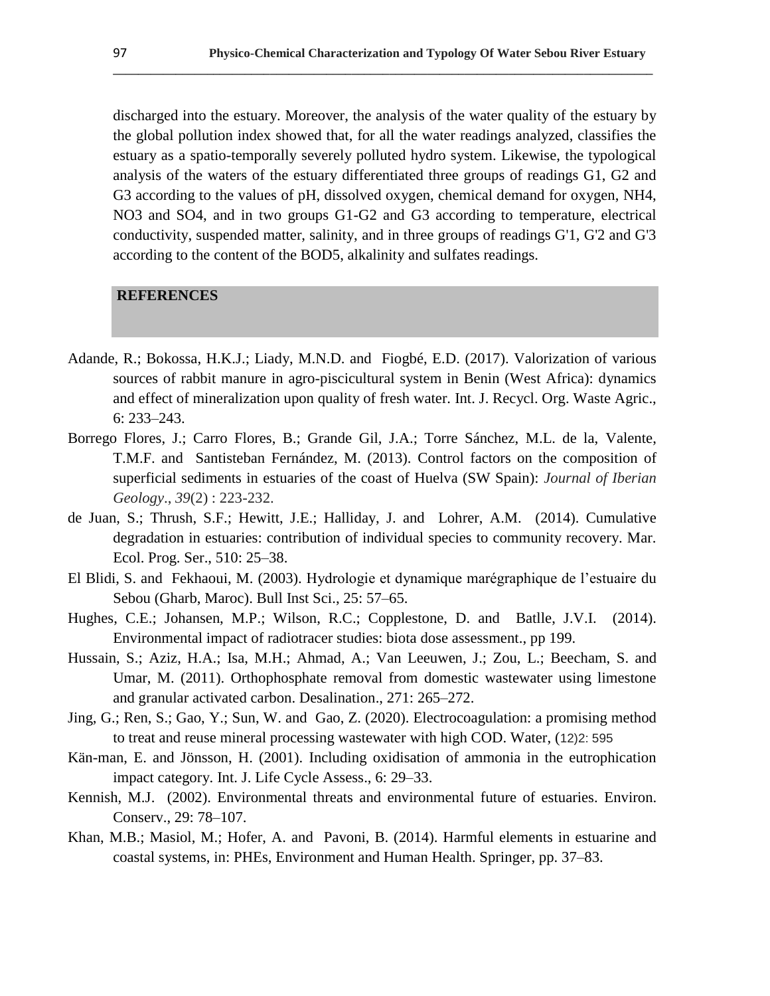discharged into the estuary. Moreover, the analysis of the water quality of the estuary by the global pollution index showed that, for all the water readings analyzed, classifies the estuary as a spatio-temporally severely polluted hydro system. Likewise, the typological analysis of the waters of the estuary differentiated three groups of readings G1, G2 and G3 according to the values of pH, dissolved oxygen, chemical demand for oxygen, NH4, NO3 and SO4, and in two groups G1-G2 and G3 according to temperature, electrical conductivity, suspended matter, salinity, and in three groups of readings G'1, G'2 and G'3 according to the content of the BOD5, alkalinity and sulfates readings.

**\_\_\_\_\_\_\_\_\_\_\_\_\_\_\_\_\_\_\_\_\_\_\_\_\_\_\_\_\_\_\_\_\_\_\_\_\_\_\_\_\_\_\_\_\_\_\_\_\_\_\_\_\_\_\_\_\_\_\_\_\_\_\_\_\_\_\_\_\_\_\_\_\_\_\_\_\_\_\_\_\_\_\_\_\_\_**

## **REFERENCES**

- Adande, R.; Bokossa, H.K.J.; Liady, M.N.D. and Fiogbé, E.D. (2017). Valorization of various sources of rabbit manure in agro-piscicultural system in Benin (West Africa): dynamics and effect of mineralization upon quality of fresh water. Int. J. Recycl. Org. Waste Agric., 6: 233–243.
- Borrego Flores, J.; Carro Flores, B.; Grande Gil, J.A.; Torre Sánchez, M.L. de la, Valente, T.M.F. and Santisteban Fernández, M. (2013). Control factors on the composition of superficial sediments in estuaries of the coast of Huelva (SW Spain): *Journal of Iberian Geology*., *39*(2) : 223-232.
- de Juan, S.; Thrush, S.F.; Hewitt, J.E.; Halliday, J. and Lohrer, A.M. (2014). Cumulative degradation in estuaries: contribution of individual species to community recovery. Mar. Ecol. Prog. Ser., 510: 25–38.
- El Blidi, S. and Fekhaoui, M. (2003). Hydrologie et dynamique marégraphique de l'estuaire du Sebou (Gharb, Maroc). Bull Inst Sci., 25: 57–65.
- Hughes, C.E.; Johansen, M.P.; Wilson, R.C.; Copplestone, D. and Batlle, J.V.I. (2014). Environmental impact of radiotracer studies: biota dose assessment., pp 199.
- Hussain, S.; Aziz, H.A.; Isa, M.H.; Ahmad, A.; Van Leeuwen, J.; Zou, L.; Beecham, S. and Umar, M. (2011). Orthophosphate removal from domestic wastewater using limestone and granular activated carbon. Desalination., 271: 265–272.
- Jing, G.; Ren, S.; Gao, Y.; Sun, W. and Gao, Z. (2020). Electrocoagulation: a promising method to treat and reuse mineral processing wastewater with high COD. Water, (12)2: 595
- Kän-man, E. and Jönsson, H. (2001). Including oxidisation of ammonia in the eutrophication impact category. Int. J. Life Cycle Assess., 6: 29–33.
- Kennish, M.J. (2002). Environmental threats and environmental future of estuaries. Environ. Conserv., 29: 78–107.
- Khan, M.B.; Masiol, M.; Hofer, A. and Pavoni, B. (2014). Harmful elements in estuarine and coastal systems, in: PHEs, Environment and Human Health. Springer, pp. 37–83.